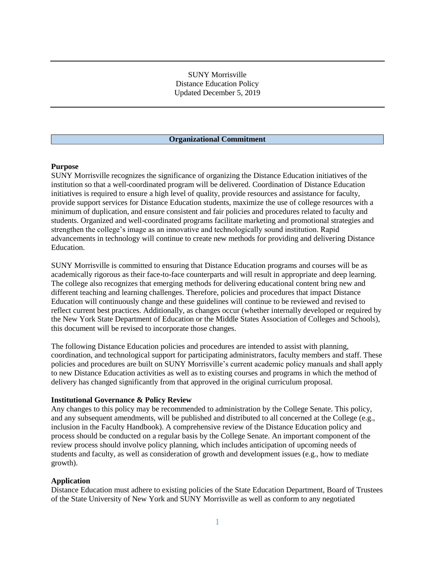# SUNY Morrisville Distance Education Policy Updated December 5, 2019

#### **Organizational Commitment**

#### **Purpose**

SUNY Morrisville recognizes the significance of organizing the Distance Education initiatives of the institution so that a well-coordinated program will be delivered. Coordination of Distance Education initiatives is required to ensure a high level of quality, provide resources and assistance for faculty, provide support services for Distance Education students, maximize the use of college resources with a minimum of duplication, and ensure consistent and fair policies and procedures related to faculty and students. Organized and well-coordinated programs facilitate marketing and promotional strategies and strengthen the college's image as an innovative and technologically sound institution. Rapid advancements in technology will continue to create new methods for providing and delivering Distance Education.

SUNY Morrisville is committed to ensuring that Distance Education programs and courses will be as academically rigorous as their face-to-face counterparts and will result in appropriate and deep learning. The college also recognizes that emerging methods for delivering educational content bring new and different teaching and learning challenges. Therefore, policies and procedures that impact Distance Education will continuously change and these guidelines will continue to be reviewed and revised to reflect current best practices. Additionally, as changes occur (whether internally developed or required by the New York State Department of Education or the Middle States Association of Colleges and Schools), this document will be revised to incorporate those changes.

The following Distance Education policies and procedures are intended to assist with planning, coordination, and technological support for participating administrators, faculty members and staff. These policies and procedures are built on SUNY Morrisville's current academic policy manuals and shall apply to new Distance Education activities as well as to existing courses and programs in which the method of delivery has changed significantly from that approved in the original curriculum proposal.

#### **Institutional Governance & Policy Review**

Any changes to this policy may be recommended to administration by the College Senate. This policy, and any subsequent amendments, will be published and distributed to all concerned at the College (e.g., inclusion in the Faculty Handbook). A comprehensive review of the Distance Education policy and process should be conducted on a regular basis by the College Senate. An important component of the review process should involve policy planning, which includes anticipation of upcoming needs of students and faculty, as well as consideration of growth and development issues (e.g., how to mediate growth).

#### **Application**

Distance Education must adhere to existing policies of the State Education Department, Board of Trustees of the State University of New York and SUNY Morrisville as well as conform to any negotiated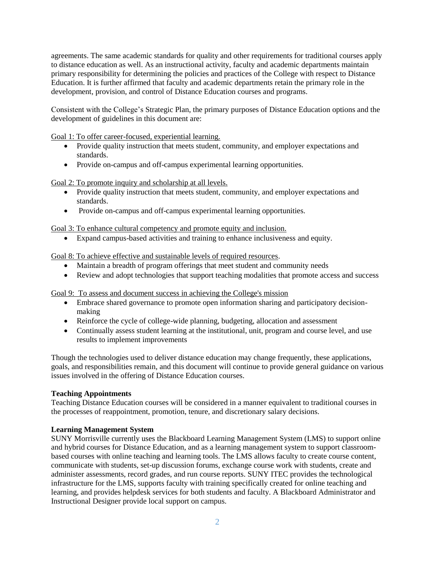agreements. The same academic standards for quality and other requirements for traditional courses apply to distance education as well. As an instructional activity, faculty and academic departments maintain primary responsibility for determining the policies and practices of the College with respect to Distance Education. It is further affirmed that faculty and academic departments retain the primary role in the development, provision, and control of Distance Education courses and programs.

Consistent with the College's Strategic Plan, the primary purposes of Distance Education options and the development of guidelines in this document are:

Goal 1: To offer career-focused, experiential learning.

- Provide quality instruction that meets student, community, and employer expectations and standards.
- Provide on-campus and off-campus experimental learning opportunities.

Goal 2: To promote inquiry and scholarship at all levels.

- Provide quality instruction that meets student, community, and employer expectations and standards.
- Provide on-campus and off-campus experimental learning opportunities.

# Goal 3: To enhance cultural competency and promote equity and inclusion.

• Expand campus-based activities and training to enhance inclusiveness and equity.

Goal 8: To achieve effective and sustainable levels of required resources.

- Maintain a breadth of program offerings that meet student and community needs
- Review and adopt technologies that support teaching modalities that promote access and success

Goal 9: To assess and document success in achieving the College's mission

- Embrace shared governance to promote open information sharing and participatory decisionmaking
- Reinforce the cycle of college-wide planning, budgeting, allocation and assessment
- Continually assess student learning at the institutional, unit, program and course level, and use results to implement improvements

Though the technologies used to deliver distance education may change frequently, these applications, goals, and responsibilities remain, and this document will continue to provide general guidance on various issues involved in the offering of Distance Education courses.

# **Teaching Appointments**

Teaching Distance Education courses will be considered in a manner equivalent to traditional courses in the processes of reappointment, promotion, tenure, and discretionary salary decisions.

# **Learning Management System**

SUNY Morrisville currently uses the Blackboard Learning Management System (LMS) to support online and hybrid courses for Distance Education, and as a learning management system to support classroombased courses with online teaching and learning tools. The LMS allows faculty to create course content, communicate with students, set-up discussion forums, exchange course work with students, create and administer assessments, record grades, and run course reports. SUNY ITEC provides the technological infrastructure for the LMS, supports faculty with training specifically created for online teaching and learning, and provides helpdesk services for both students and faculty. A Blackboard Administrator and Instructional Designer provide local support on campus.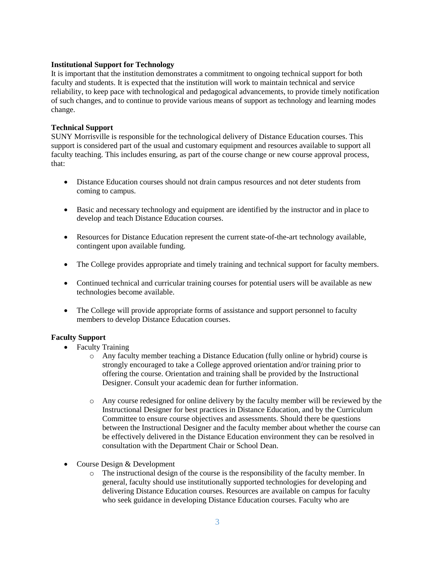# **Institutional Support for Technology**

It is important that the institution demonstrates a commitment to ongoing technical support for both faculty and students. It is expected that the institution will work to maintain technical and service reliability, to keep pace with technological and pedagogical advancements, to provide timely notification of such changes, and to continue to provide various means of support as technology and learning modes change.

# **Technical Support**

SUNY Morrisville is responsible for the technological delivery of Distance Education courses. This support is considered part of the usual and customary equipment and resources available to support all faculty teaching. This includes ensuring, as part of the course change or new course approval process, that:

- Distance Education courses should not drain campus resources and not deter students from coming to campus.
- Basic and necessary technology and equipment are identified by the instructor and in place to develop and teach Distance Education courses.
- Resources for Distance Education represent the current state-of-the-art technology available, contingent upon available funding.
- The College provides appropriate and timely training and technical support for faculty members.
- Continued technical and curricular training courses for potential users will be available as new technologies become available.
- The College will provide appropriate forms of assistance and support personnel to faculty members to develop Distance Education courses.

# **Faculty Support**

- Faculty Training
	- o Any faculty member teaching a Distance Education (fully online or hybrid) course is strongly encouraged to take a College approved orientation and/or training prior to offering the course. Orientation and training shall be provided by the Instructional Designer. Consult your academic dean for further information.
	- o Any course redesigned for online delivery by the faculty member will be reviewed by the Instructional Designer for best practices in Distance Education, and by the Curriculum Committee to ensure course objectives and assessments. Should there be questions between the Instructional Designer and the faculty member about whether the course can be effectively delivered in the Distance Education environment they can be resolved in consultation with the Department Chair or School Dean.
- Course Design & Development
	- $\circ$  The instructional design of the course is the responsibility of the faculty member. In general, faculty should use institutionally supported technologies for developing and delivering Distance Education courses. Resources are available on campus for faculty who seek guidance in developing Distance Education courses. Faculty who are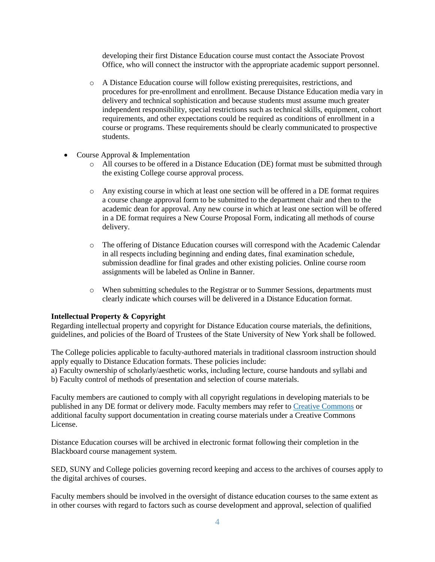developing their first Distance Education course must contact the Associate Provost Office, who will connect the instructor with the appropriate academic support personnel.

- o A Distance Education course will follow existing prerequisites, restrictions, and procedures for pre-enrollment and enrollment. Because Distance Education media vary in delivery and technical sophistication and because students must assume much greater independent responsibility, special restrictions such as technical skills, equipment, cohort requirements, and other expectations could be required as conditions of enrollment in a course or programs. These requirements should be clearly communicated to prospective students.
- Course Approval & Implementation
	- o All courses to be offered in a Distance Education (DE) format must be submitted through the existing College course approval process.
	- o Any existing course in which at least one section will be offered in a DE format requires a course change approval form to be submitted to the department chair and then to the academic dean for approval. Any new course in which at least one section will be offered in a DE format requires a New Course Proposal Form, indicating all methods of course delivery.
	- o The offering of Distance Education courses will correspond with the Academic Calendar in all respects including beginning and ending dates, final examination schedule, submission deadline for final grades and other existing policies. Online course room assignments will be labeled as Online in Banner.
	- o When submitting schedules to the Registrar or to Summer Sessions, departments must clearly indicate which courses will be delivered in a Distance Education format.

#### **Intellectual Property & Copyright**

Regarding intellectual property and copyright for Distance Education course materials, the definitions, guidelines, and policies of the Board of Trustees of the State University of New York shall be followed.

The College policies applicable to faculty-authored materials in traditional classroom instruction should apply equally to Distance Education formats. These policies include:

a) Faculty ownership of scholarly/aesthetic works, including lecture, course handouts and syllabi and b) Faculty control of methods of presentation and selection of course materials.

Faculty members are cautioned to comply with all copyright regulations in developing materials to be published in any DE format or delivery mode. Faculty members may refer to [Creative Commons](https://creativecommons.org/) or additional faculty support documentation in creating course materials under a Creative Commons License.

Distance Education courses will be archived in electronic format following their completion in the Blackboard course management system.

SED, SUNY and College policies governing record keeping and access to the archives of courses apply to the digital archives of courses.

Faculty members should be involved in the oversight of distance education courses to the same extent as in other courses with regard to factors such as course development and approval, selection of qualified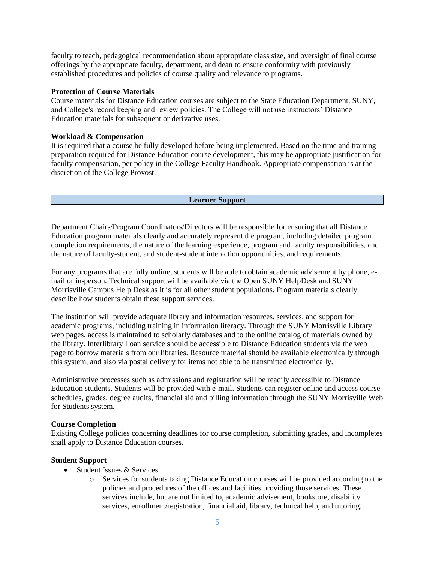faculty to teach, pedagogical recommendation about appropriate class size, and oversight of final course offerings by the appropriate faculty, department, and dean to ensure conformity with previously established procedures and policies of course quality and relevance to programs.

## **Protection of Course Materials**

Course materials for Distance Education courses are subject to the State Education Department, SUNY, and College's record keeping and review policies. The College will not use instructors' Distance Education materials for subsequent or derivative uses.

# **Workload & Compensation**

It is required that a course be fully developed before being implemented. Based on the time and training preparation required for Distance Education course development, this may be appropriate justification for faculty compensation, per policy in the College Faculty Handbook. Appropriate compensation is at the discretion of the College Provost.

#### **Learner Support**

Department Chairs/Program Coordinators/Directors will be responsible for ensuring that all Distance Education program materials clearly and accurately represent the program, including detailed program completion requirements, the nature of the learning experience, program and faculty responsibilities, and the nature of faculty-student, and student-student interaction opportunities, and requirements.

For any programs that are fully online, students will be able to obtain academic advisement by phone, email or in-person. Technical support will be available via the Open SUNY HelpDesk and SUNY Morrisville Campus Help Desk as it is for all other student populations. Program materials clearly describe how students obtain these support services.

The institution will provide adequate library and information resources, services, and support for academic programs, including training in information literacy. Through the SUNY Morrisville Library web pages, access is maintained to scholarly databases and to the online catalog of materials owned by the library. Interlibrary Loan service should be accessible to Distance Education students via the web page to borrow materials from our libraries. Resource material should be available electronically through this system, and also via postal delivery for items not able to be transmitted electronically.

Administrative processes such as admissions and registration will be readily accessible to Distance Education students. Students will be provided with e-mail. Students can register online and access course schedules, grades, degree audits, financial aid and billing information through the SUNY Morrisville Web for Students system.

#### **Course Completion**

Existing College policies concerning deadlines for course completion, submitting grades, and incompletes shall apply to Distance Education courses.

# **Student Support**

- Student Issues & Services
	- o Services for students taking Distance Education courses will be provided according to the policies and procedures of the offices and facilities providing those services. These services include, but are not limited to, academic advisement, bookstore, disability services, enrollment/registration, financial aid, library, technical help, and tutoring.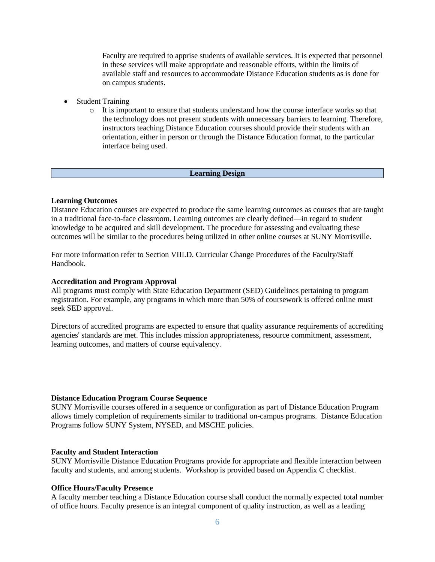Faculty are required to apprise students of available services. It is expected that personnel in these services will make appropriate and reasonable efforts, within the limits of available staff and resources to accommodate Distance Education students as is done for on campus students.

- Student Training
	- o It is important to ensure that students understand how the course interface works so that the technology does not present students with unnecessary barriers to learning. Therefore, instructors teaching Distance Education courses should provide their students with an orientation, either in person or through the Distance Education format, to the particular interface being used.

## **Learning Design**

#### **Learning Outcomes**

Distance Education courses are expected to produce the same learning outcomes as courses that are taught in a traditional face-to-face classroom. Learning outcomes are clearly defined—in regard to student knowledge to be acquired and skill development. The procedure for assessing and evaluating these outcomes will be similar to the procedures being utilized in other online courses at SUNY Morrisville.

For more information refer to Section VIII.D. Curricular Change Procedures of the Faculty/Staff Handbook.

#### **Accreditation and Program Approval**

All programs must comply with State Education Department (SED) Guidelines pertaining to program registration. For example, any programs in which more than 50% of coursework is offered online must seek SED approval.

Directors of accredited programs are expected to ensure that quality assurance requirements of accrediting agencies' standards are met. This includes mission appropriateness, resource commitment, assessment, learning outcomes, and matters of course equivalency.

#### **Distance Education Program Course Sequence**

SUNY Morrisville courses offered in a sequence or configuration as part of Distance Education Program allows timely completion of requirements similar to traditional on-campus programs. Distance Education Programs follow SUNY System, NYSED, and MSCHE policies.

#### **Faculty and Student Interaction**

SUNY Morrisville Distance Education Programs provide for appropriate and flexible interaction between faculty and students, and among students. Workshop is provided based on Appendix C checklist.

## **Office Hours/Faculty Presence**

A faculty member teaching a Distance Education course shall conduct the normally expected total number of office hours. Faculty presence is an integral component of quality instruction, as well as a leading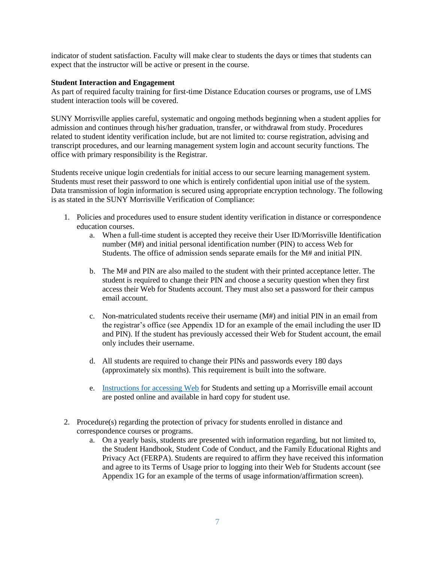indicator of student satisfaction. Faculty will make clear to students the days or times that students can expect that the instructor will be active or present in the course.

## **Student Interaction and Engagement**

As part of required faculty training for first-time Distance Education courses or programs, use of LMS student interaction tools will be covered.

SUNY Morrisville applies careful, systematic and ongoing methods beginning when a student applies for admission and continues through his/her graduation, transfer, or withdrawal from study. Procedures related to student identity verification include, but are not limited to: course registration, advising and transcript procedures, and our learning management system login and account security functions. The office with primary responsibility is the Registrar.

Students receive unique login credentials for initial access to our secure learning management system. Students must reset their password to one which is entirely confidential upon initial use of the system. Data transmission of login information is secured using appropriate encryption technology. The following is as stated in the SUNY Morrisville Verification of Compliance:

- 1. Policies and procedures used to ensure student identity verification in distance or correspondence education courses.
	- a. When a full-time student is accepted they receive their User ID/Morrisville Identification number (M#) and initial personal identification number (PIN) to access Web for Students. The office of admission sends separate emails for the M# and initial PIN.
	- b. The M# and PIN are also mailed to the student with their printed acceptance letter. The student is required to change their PIN and choose a security question when they first access their Web for Students account. They must also set a password for their campus email account.
	- c. Non-matriculated students receive their username (M#) and initial PIN in an email from the registrar's office (see Appendix 1D for an example of the email including the user ID and PIN). If the student has previously accessed their Web for Student account, the email only includes their username.
	- d. All students are required to change their PINs and passwords every 180 days (approximately six months). This requirement is built into the software.
	- e. [Instructions for accessing Web](https://www.morrisville.edu/sites/default/files/entity-browser-files/web_for_student_instructions_-_oct_2018_final.pdf) for Students and setting up a Morrisville email account are posted online and available in hard copy for student use.
- 2. Procedure(s) regarding the protection of privacy for students enrolled in distance and correspondence courses or programs.
	- a. On a yearly basis, students are presented with information regarding, but not limited to, the Student Handbook, Student Code of Conduct, and the Family Educational Rights and Privacy Act (FERPA). Students are required to affirm they have received this information and agree to its Terms of Usage prior to logging into their Web for Students account (see Appendix 1G for an example of the terms of usage information/affirmation screen).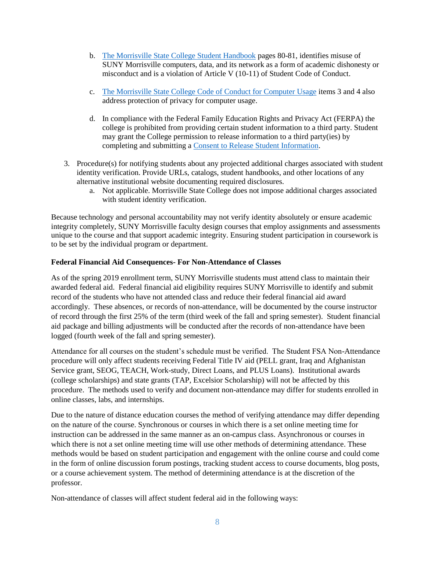- b. [The Morrisville State College Student Handbook](https://www.morrisville.edu/sites/default/files/entity-browser-files/2018-19_student_handbook_.pdf) pages 80-81, identifies misuse of SUNY Morrisville computers, data, and its network as a form of academic dishonesty or misconduct and is a violation of Article V (10-11) of Student Code of Conduct.
- c. [The Morrisville State College Code of Conduct for Computer Usage](https://www.morrisville.edu/sites/default/files/entity-browser-files/conduct20for20computer20use1.pdf) items 3 and 4 also address protection of privacy for computer usage.
- d. In compliance with the Federal Family Education Rights and Privacy Act (FERPA) the college is prohibited from providing certain student information to a third party. Student may grant the College permission to release information to a third party(ies) by completing and submitting a [Consent to Release Student Information.](https://www.morrisville.edu/sites/default/files/entity-browser-files/suny_morrisville_ferpa_authorization_form_2018.pdf)
- 3. Procedure(s) for notifying students about any projected additional charges associated with student identity verification. Provide URLs, catalogs, student handbooks, and other locations of any alternative institutional website documenting required disclosures.
	- a. Not applicable. Morrisville State College does not impose additional charges associated with student identity verification.

Because technology and personal accountability may not verify identity absolutely or ensure academic integrity completely, SUNY Morrisville faculty design courses that employ assignments and assessments unique to the course and that support academic integrity. Ensuring student participation in coursework is to be set by the individual program or department.

# **Federal Financial Aid Consequences- For Non-Attendance of Classes**

As of the spring 2019 enrollment term, SUNY Morrisville students must attend class to maintain their awarded federal aid. Federal financial aid eligibility requires SUNY Morrisville to identify and submit record of the students who have not attended class and reduce their federal financial aid award accordingly. These absences, or records of non-attendance, will be documented by the course instructor of record through the first 25% of the term (third week of the fall and spring semester). Student financial aid package and billing adjustments will be conducted after the records of non-attendance have been logged (fourth week of the fall and spring semester).

Attendance for all courses on the student's schedule must be verified. The Student FSA Non-Attendance procedure will only affect students receiving Federal Title IV aid (PELL grant, Iraq and Afghanistan Service grant, SEOG, TEACH, Work-study, Direct Loans, and PLUS Loans). Institutional awards (college scholarships) and state grants (TAP, Excelsior Scholarship) will not be affected by this procedure. The methods used to verify and document non-attendance may differ for students enrolled in online classes, labs, and internships.

Due to the nature of distance education courses the method of verifying attendance may differ depending on the nature of the course. Synchronous or courses in which there is a set online meeting time for instruction can be addressed in the same manner as an on-campus class. Asynchronous or courses in which there is not a set online meeting time will use other methods of determining attendance. These methods would be based on student participation and engagement with the online course and could come in the form of online discussion forum postings, tracking student access to course documents, blog posts, or a course achievement system. The method of determining attendance is at the discretion of the professor.

Non-attendance of classes will affect student federal aid in the following ways: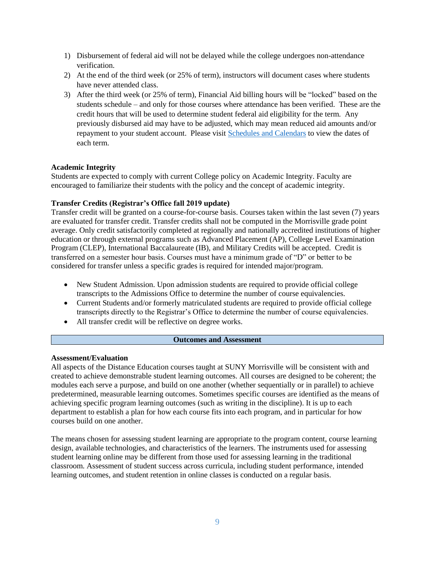- 1) Disbursement of federal aid will not be delayed while the college undergoes non-attendance verification.
- 2) At the end of the third week (or 25% of term), instructors will document cases where students have never attended class.
- 3) After the third week (or 25% of term), Financial Aid billing hours will be "locked" based on the students schedule – and only for those courses where attendance has been verified. These are the credit hours that will be used to determine student federal aid eligibility for the term. Any previously disbursed aid may have to be adjusted, which may mean reduced aid amounts and/or repayment to your student account. Please visit [Schedules and Calendars](https://www.morrisville.edu/contact/offices/registrar/schedules-and-calendars) to view the dates of each term.

## **Academic Integrity**

Students are expected to comply with current College policy on Academic Integrity. Faculty are encouraged to familiarize their students with the policy and the concept of academic integrity.

## **Transfer Credits (Registrar's Office fall 2019 update)**

Transfer credit will be granted on a course-for-course basis. Courses taken within the last seven (7) years are evaluated for transfer credit. Transfer credits shall not be computed in the Morrisville grade point average. Only credit satisfactorily completed at regionally and nationally accredited institutions of higher education or through external programs such as Advanced Placement (AP), College Level Examination Program (CLEP), International Baccalaureate (IB), and Military Credits will be accepted. Credit is transferred on a semester hour basis. Courses must have a minimum grade of "D" or better to be considered for transfer unless a specific grades is required for intended major/program.

- New Student Admission. Upon admission students are required to provide official college transcripts to the Admissions Office to determine the number of course equivalencies.
- Current Students and/or formerly matriculated students are required to provide official college transcripts directly to the Registrar's Office to determine the number of course equivalencies.
- All transfer credit will be reflective on degree works.

#### **Outcomes and Assessment**

# **Assessment/Evaluation**

All aspects of the Distance Education courses taught at SUNY Morrisville will be consistent with and created to achieve demonstrable student learning outcomes. All courses are designed to be coherent; the modules each serve a purpose, and build on one another (whether sequentially or in parallel) to achieve predetermined, measurable learning outcomes. Sometimes specific courses are identified as the means of achieving specific program learning outcomes (such as writing in the discipline). It is up to each department to establish a plan for how each course fits into each program, and in particular for how courses build on one another.

The means chosen for assessing student learning are appropriate to the program content, course learning design, available technologies, and characteristics of the learners. The instruments used for assessing student learning online may be different from those used for assessing learning in the traditional classroom. Assessment of student success across curricula, including student performance, intended learning outcomes, and student retention in online classes is conducted on a regular basis.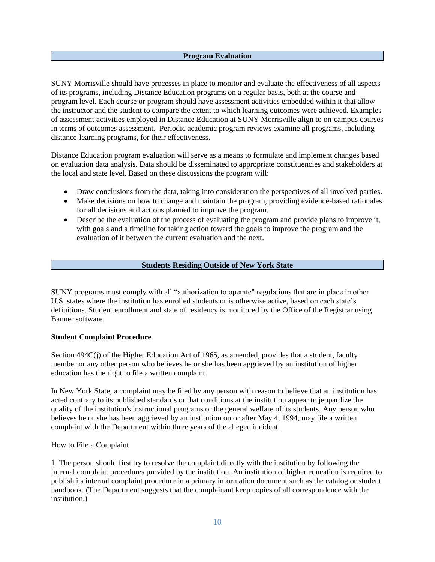# **Program Evaluation**

SUNY Morrisville should have processes in place to monitor and evaluate the effectiveness of all aspects of its programs, including Distance Education programs on a regular basis, both at the course and program level. Each course or program should have assessment activities embedded within it that allow the instructor and the student to compare the extent to which learning outcomes were achieved. Examples of assessment activities employed in Distance Education at SUNY Morrisville align to on-campus courses in terms of outcomes assessment. Periodic academic program reviews examine all programs, including distance-learning programs, for their effectiveness.

Distance Education program evaluation will serve as a means to formulate and implement changes based on evaluation data analysis. Data should be disseminated to appropriate constituencies and stakeholders at the local and state level. Based on these discussions the program will:

- Draw conclusions from the data, taking into consideration the perspectives of all involved parties.
- Make decisions on how to change and maintain the program, providing evidence-based rationales for all decisions and actions planned to improve the program.
- Describe the evaluation of the process of evaluating the program and provide plans to improve it, with goals and a timeline for taking action toward the goals to improve the program and the evaluation of it between the current evaluation and the next.

# **Students Residing Outside of New York State**

SUNY programs must comply with all "authorization to operate" regulations that are in place in other U.S. states where the institution has enrolled students or is otherwise active, based on each state's definitions. Student enrollment and state of residency is monitored by the Office of the Registrar using Banner software.

# **Student Complaint Procedure**

Section 494C(j) of the Higher Education Act of 1965, as amended, provides that a student, faculty member or any other person who believes he or she has been aggrieved by an institution of higher education has the right to file a written complaint.

In New York State, a complaint may be filed by any person with reason to believe that an institution has acted contrary to its published standards or that conditions at the institution appear to jeopardize the quality of the institution's instructional programs or the general welfare of its students. Any person who believes he or she has been aggrieved by an institution on or after May 4, 1994, may file a written complaint with the Department within three years of the alleged incident.

# How to File a Complaint

1. The person should first try to resolve the complaint directly with the institution by following the internal complaint procedures provided by the institution. An institution of higher education is required to publish its internal complaint procedure in a primary information document such as the catalog or student handbook. (The Department suggests that the complainant keep copies of all correspondence with the institution.)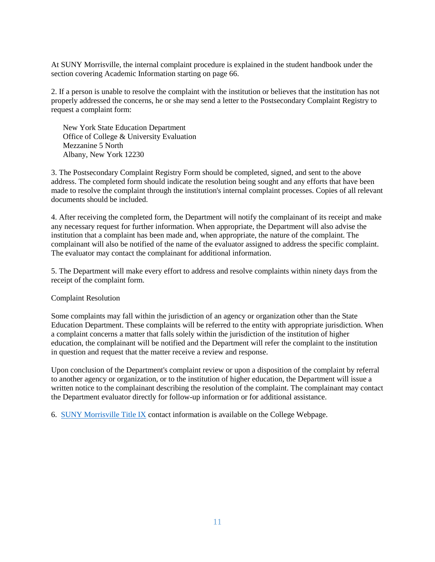At SUNY Morrisville, the internal complaint procedure is explained in the student handbook under the section covering Academic Information starting on page 66.

2. If a person is unable to resolve the complaint with the institution or believes that the institution has not properly addressed the concerns, he or she may send a letter to the Postsecondary Complaint Registry to request a complaint form:

 New York State Education Department Office of College & University Evaluation Mezzanine 5 North Albany, New York 12230

3. The Postsecondary Complaint Registry Form should be completed, signed, and sent to the above address. The completed form should indicate the resolution being sought and any efforts that have been made to resolve the complaint through the institution's internal complaint processes. Copies of all relevant documents should be included.

4. After receiving the completed form, the Department will notify the complainant of its receipt and make any necessary request for further information. When appropriate, the Department will also advise the institution that a complaint has been made and, when appropriate, the nature of the complaint. The complainant will also be notified of the name of the evaluator assigned to address the specific complaint. The evaluator may contact the complainant for additional information.

5. The Department will make every effort to address and resolve complaints within ninety days from the receipt of the complaint form.

#### Complaint Resolution

Some complaints may fall within the jurisdiction of an agency or organization other than the State Education Department. These complaints will be referred to the entity with appropriate jurisdiction. When a complaint concerns a matter that falls solely within the jurisdiction of the institution of higher education, the complainant will be notified and the Department will refer the complaint to the institution in question and request that the matter receive a review and response.

Upon conclusion of the Department's complaint review or upon a disposition of the complaint by referral to another agency or organization, or to the institution of higher education, the Department will issue a written notice to the complainant describing the resolution of the complaint. The complainant may contact the Department evaluator directly for follow-up information or for additional assistance.

6. [SUNY Morrisville Title IX](https://www.morrisville.edu/contact/offices/university-police/title-ix) contact information is available on the College Webpage.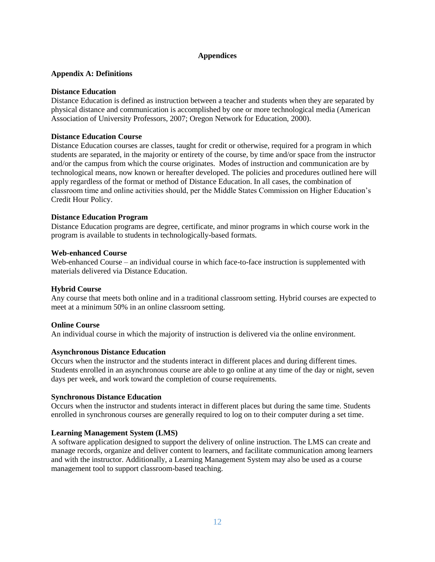# **Appendices**

# **Appendix A: Definitions**

## **Distance Education**

Distance Education is defined as instruction between a teacher and students when they are separated by physical distance and communication is accomplished by one or more technological media (American Association of University Professors, 2007; Oregon Network for Education, 2000).

## **Distance Education Course**

Distance Education courses are classes, taught for credit or otherwise, required for a program in which students are separated, in the majority or entirety of the course, by time and/or space from the instructor and/or the campus from which the course originates. Modes of instruction and communication are by technological means, now known or hereafter developed. The policies and procedures outlined here will apply regardless of the format or method of Distance Education. In all cases, the combination of classroom time and online activities should, per the Middle States Commission on Higher Education's Credit Hour Policy.

## **Distance Education Program**

Distance Education programs are degree, certificate, and minor programs in which course work in the program is available to students in technologically-based formats.

#### **Web-enhanced Course**

Web-enhanced Course – an individual course in which face-to-face instruction is supplemented with materials delivered via Distance Education.

# **Hybrid Course**

Any course that meets both online and in a traditional classroom setting. Hybrid courses are expected to meet at a minimum 50% in an online classroom setting.

#### **Online Course**

An individual course in which the majority of instruction is delivered via the online environment.

#### **Asynchronous Distance Education**

Occurs when the instructor and the students interact in different places and during different times. Students enrolled in an asynchronous course are able to go online at any time of the day or night, seven days per week, and work toward the completion of course requirements.

#### **Synchronous Distance Education**

Occurs when the instructor and students interact in different places but during the same time. Students enrolled in synchronous courses are generally required to log on to their computer during a set time.

#### **Learning Management System (LMS)**

A software application designed to support the delivery of online instruction. The LMS can create and manage records, organize and deliver content to learners, and facilitate communication among learners and with the instructor. Additionally, a Learning Management System may also be used as a course management tool to support classroom-based teaching.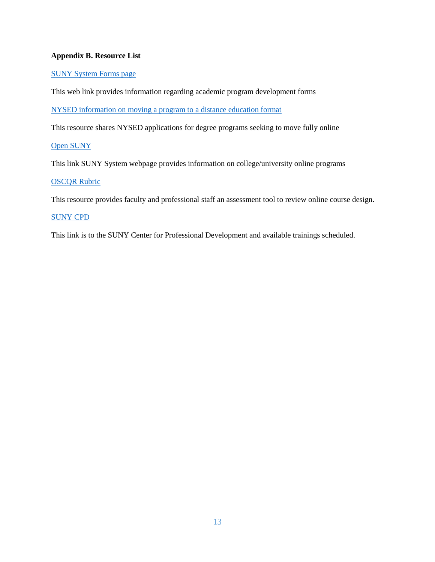# **Appendix B. Resource List**

# [SUNY System Forms page](http://system.suny.edu/academic-affairs/acaproplan/app/forms/)

This web link provides information regarding academic program development forms

[NYSED information on moving a program to a distance education format](http://www.highered.nysed.gov/ocue/aipr/gaproposal.html#supplements)

This resource shares NYSED applications for degree programs seeking to move fully online

# [Open SUNY](https://open.suny.edu/)

This link SUNY System webpage provides information on college/university online programs

# **[OSCQR](https://oscqr.org/) Rubric**

This resource provides faculty and professional staff an assessment tool to review online course design.

# [SUNY CPD](http://cpd.suny.edu/)

This link is to the SUNY Center for Professional Development and available trainings scheduled.